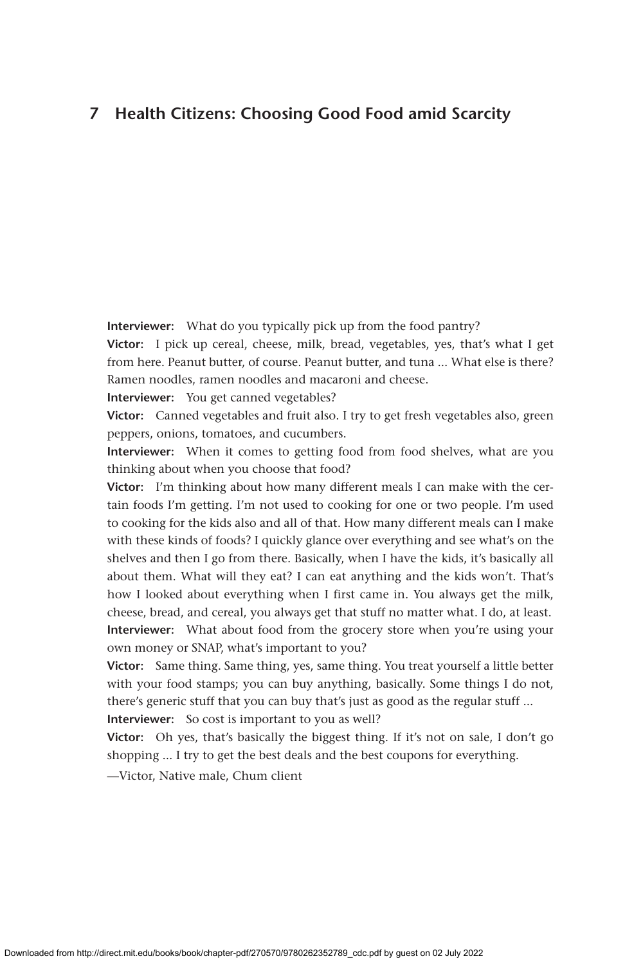# **7 Health Citizens: Choosing Good Food amid Scarcity**

**Interviewer:** What do you typically pick up from the food pantry?

**Victor:** I pick up cereal, cheese, milk, bread, vegetables, yes, that's what I get from here. Peanut butter, of course. Peanut butter, and tuna ... What else is there? Ramen noodles, ramen noodles and macaroni and cheese.

**Interviewer:** You get canned vegetables?

**Victor:** Canned vegetables and fruit also. I try to get fresh vegetables also, green peppers, onions, tomatoes, and cucumbers.

**Interviewer:** When it comes to getting food from food shelves, what are you thinking about when you choose that food?

**Victor:** I'm thinking about how many different meals I can make with the certain foods I'm getting. I'm not used to cooking for one or two people. I'm used to cooking for the kids also and all of that. How many different meals can I make with these kinds of foods? I quickly glance over everything and see what's on the shelves and then I go from there. Basically, when I have the kids, it's basically all about them. What will they eat? I can eat anything and the kids won't. That's how I looked about everything when I first came in. You always get the milk, cheese, bread, and cereal, you always get that stuff no matter what. I do, at least. **Interviewer:** What about food from the grocery store when you're using your own money or SNAP, what's important to you?

**Victor:** Same thing. Same thing, yes, same thing. You treat yourself a little better with your food stamps; you can buy anything, basically. Some things I do not, there's generic stuff that you can buy that's just as good as the regular stuff ... **Interviewer:** So cost is important to you as well?

**Victor:** Oh yes, that's basically the biggest thing. If it's not on sale, I don't go shopping ... I try to get the best deals and the best coupons for everything.

—Victor, Native male, Chum client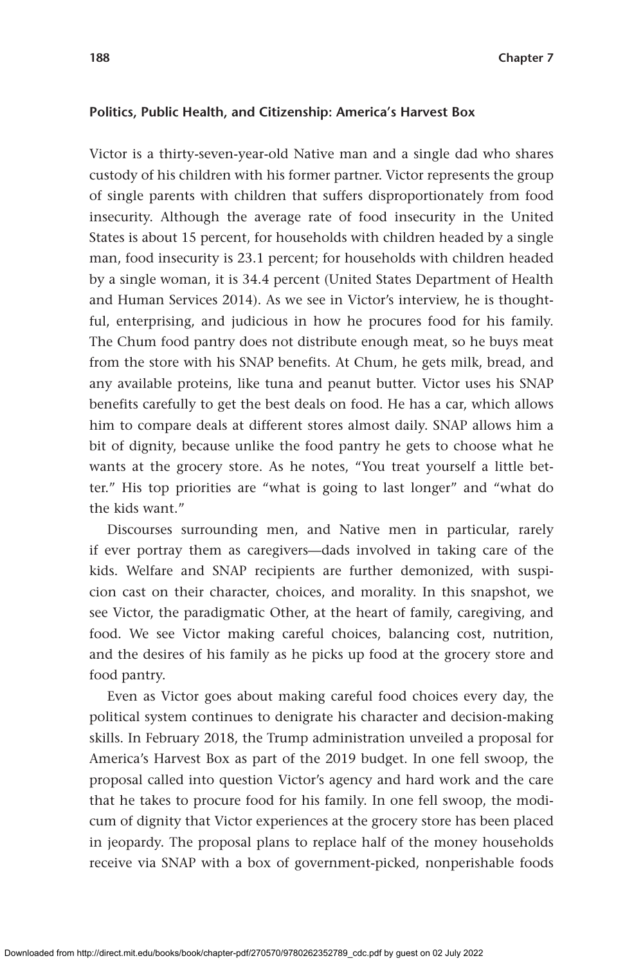#### **Politics, Public Health, and Citizenship: America's Harvest Box**

Victor is a thirty-seven-year-old Native man and a single dad who shares custody of his children with his former partner. Victor represents the group of single parents with children that suffers disproportionately from food insecurity. Although the average rate of food insecurity in the United States is about 15 percent, for households with children headed by a single man, food insecurity is 23.1 percent; for households with children headed by a single woman, it is 34.4 percent (United States Department of Health and Human Services 2014). As we see in Victor's interview, he is thoughtful, enterprising, and judicious in how he procures food for his family. The Chum food pantry does not distribute enough meat, so he buys meat from the store with his SNAP benefits. At Chum, he gets milk, bread, and any available proteins, like tuna and peanut butter. Victor uses his SNAP benefits carefully to get the best deals on food. He has a car, which allows him to compare deals at different stores almost daily. SNAP allows him a bit of dignity, because unlike the food pantry he gets to choose what he wants at the grocery store. As he notes, "You treat yourself a little better." His top priorities are "what is going to last longer" and "what do the kids want."

Discourses surrounding men, and Native men in particular, rarely if ever portray them as caregivers—dads involved in taking care of the kids. Welfare and SNAP recipients are further demonized, with suspicion cast on their character, choices, and morality. In this snapshot, we see Victor, the paradigmatic Other, at the heart of family, caregiving, and food. We see Victor making careful choices, balancing cost, nutrition, and the desires of his family as he picks up food at the grocery store and food pantry.

Even as Victor goes about making careful food choices every day, the political system continues to denigrate his character and decision-making skills. In February 2018, the Trump administration unveiled a proposal for America's Harvest Box as part of the 2019 budget. In one fell swoop, the proposal called into question Victor's agency and hard work and the care that he takes to procure food for his family. In one fell swoop, the modicum of dignity that Victor experiences at the grocery store has been placed in jeopardy. The proposal plans to replace half of the money households receive via SNAP with a box of government-picked, nonperishable foods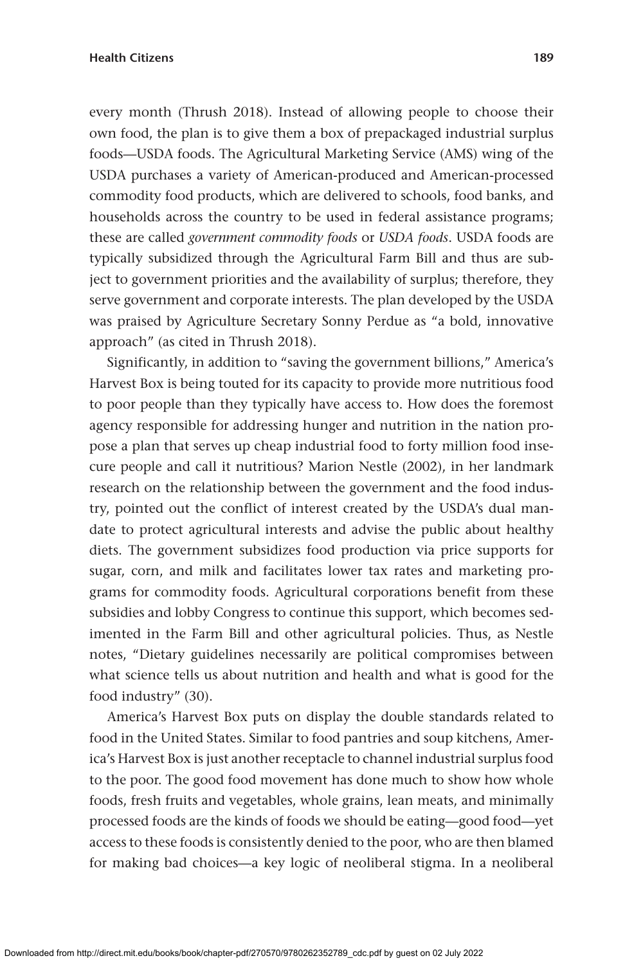every month (Thrush 2018). Instead of allowing people to choose their own food, the plan is to give them a box of prepackaged industrial surplus foods—USDA foods. The Agricultural Marketing Service (AMS) wing of the USDA purchases a variety of American-produced and American-processed commodity food products, which are delivered to schools, food banks, and households across the country to be used in federal assistance programs; these are called *government commodity foods* or *USDA foods*. USDA foods are typically subsidized through the Agricultural Farm Bill and thus are subject to government priorities and the availability of surplus; therefore, they serve government and corporate interests. The plan developed by the USDA was praised by Agriculture Secretary Sonny Perdue as "a bold, innovative approach" (as cited in Thrush 2018).

Significantly, in addition to "saving the government billions," America's Harvest Box is being touted for its capacity to provide more nutritious food to poor people than they typically have access to. How does the foremost agency responsible for addressing hunger and nutrition in the nation propose a plan that serves up cheap industrial food to forty million food insecure people and call it nutritious? Marion Nestle (2002), in her landmark research on the relationship between the government and the food industry, pointed out the conflict of interest created by the USDA's dual mandate to protect agricultural interests and advise the public about healthy diets. The government subsidizes food production via price supports for sugar, corn, and milk and facilitates lower tax rates and marketing programs for commodity foods. Agricultural corporations benefit from these subsidies and lobby Congress to continue this support, which becomes sedimented in the Farm Bill and other agricultural policies. Thus, as Nestle notes, "Dietary guidelines necessarily are political compromises between what science tells us about nutrition and health and what is good for the food industry" (30).

America's Harvest Box puts on display the double standards related to food in the United States. Similar to food pantries and soup kitchens, America's Harvest Box is just another receptacle to channel industrial surplus food to the poor. The good food movement has done much to show how whole foods, fresh fruits and vegetables, whole grains, lean meats, and minimally processed foods are the kinds of foods we should be eating—good food—yet access to these foods is consistently denied to the poor, who are then blamed for making bad choices—a key logic of neoliberal stigma. In a neoliberal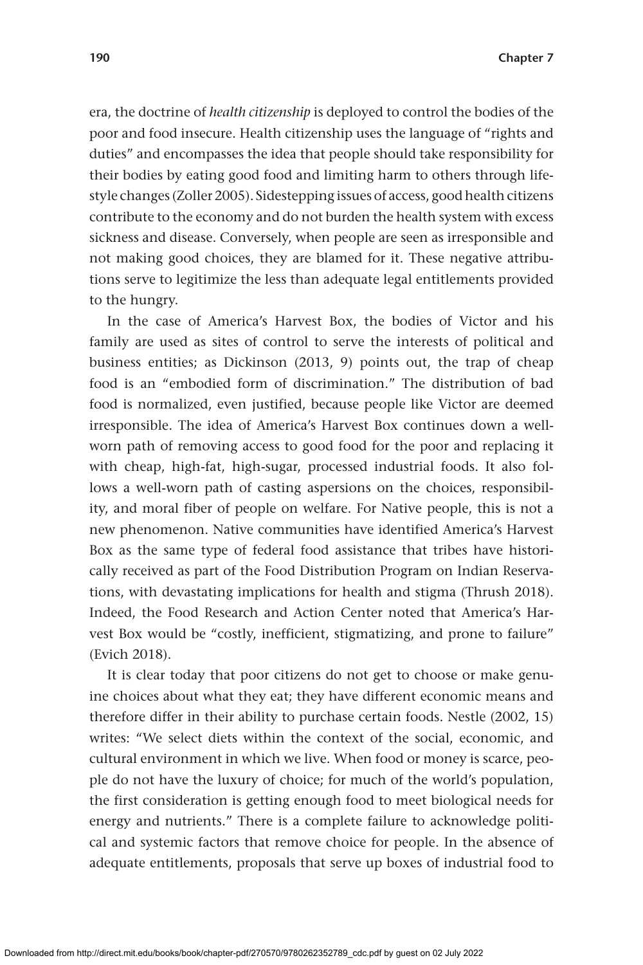era, the doctrine of *health citizenship* is deployed to control the bodies of the poor and food insecure. Health citizenship uses the language of "rights and duties" and encompasses the idea that people should take responsibility for their bodies by eating good food and limiting harm to others through lifestyle changes (Zoller 2005). Sidestepping issues of access, good health citizens contribute to the economy and do not burden the health system with excess sickness and disease. Conversely, when people are seen as irresponsible and not making good choices, they are blamed for it. These negative attributions serve to legitimize the less than adequate legal entitlements provided to the hungry.

In the case of America's Harvest Box, the bodies of Victor and his family are used as sites of control to serve the interests of political and business entities; as Dickinson (2013, 9) points out, the trap of cheap food is an "embodied form of discrimination." The distribution of bad food is normalized, even justified, because people like Victor are deemed irresponsible. The idea of America's Harvest Box continues down a wellworn path of removing access to good food for the poor and replacing it with cheap, high-fat, high-sugar, processed industrial foods. It also follows a well-worn path of casting aspersions on the choices, responsibility, and moral fiber of people on welfare. For Native people, this is not a new phenomenon. Native communities have identified America's Harvest Box as the same type of federal food assistance that tribes have historically received as part of the Food Distribution Program on Indian Reservations, with devastating implications for health and stigma (Thrush 2018). Indeed, the Food Research and Action Center noted that America's Harvest Box would be "costly, inefficient, stigmatizing, and prone to failure" (Evich 2018).

It is clear today that poor citizens do not get to choose or make genuine choices about what they eat; they have different economic means and therefore differ in their ability to purchase certain foods. Nestle (2002, 15) writes: "We select diets within the context of the social, economic, and cultural environment in which we live. When food or money is scarce, people do not have the luxury of choice; for much of the world's population, the first consideration is getting enough food to meet biological needs for energy and nutrients." There is a complete failure to acknowledge political and systemic factors that remove choice for people. In the absence of adequate entitlements, proposals that serve up boxes of industrial food to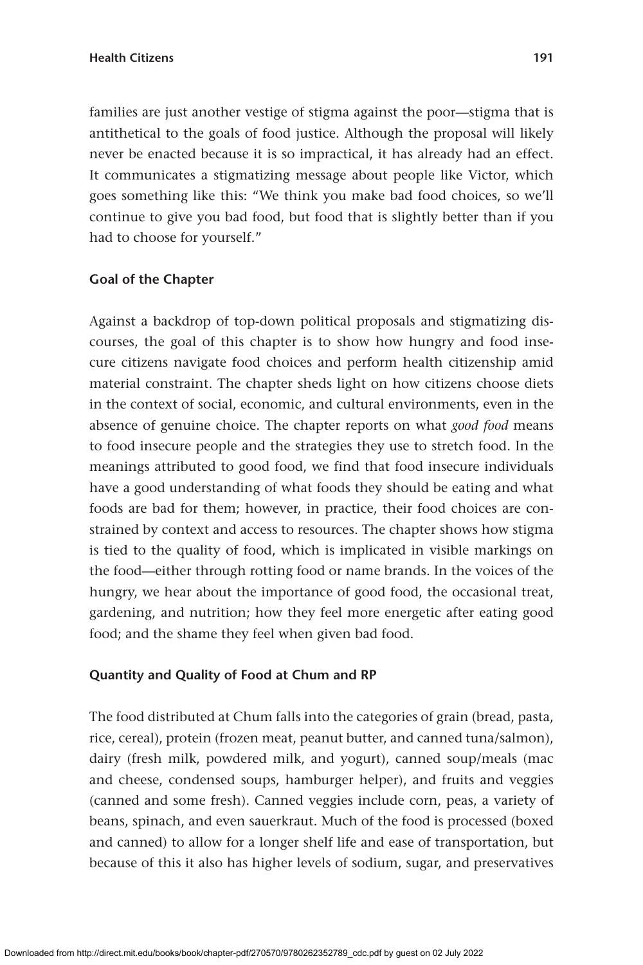families are just another vestige of stigma against the poor—stigma that is antithetical to the goals of food justice. Although the proposal will likely never be enacted because it is so impractical, it has already had an effect. It communicates a stigmatizing message about people like Victor, which goes something like this: "We think you make bad food choices, so we'll continue to give you bad food, but food that is slightly better than if you had to choose for yourself."

# **Goal of the Chapter**

Against a backdrop of top-down political proposals and stigmatizing discourses, the goal of this chapter is to show how hungry and food insecure citizens navigate food choices and perform health citizenship amid material constraint. The chapter sheds light on how citizens choose diets in the context of social, economic, and cultural environments, even in the absence of genuine choice. The chapter reports on what *good food* means to food insecure people and the strategies they use to stretch food. In the meanings attributed to good food, we find that food insecure individuals have a good understanding of what foods they should be eating and what foods are bad for them; however, in practice, their food choices are constrained by context and access to resources. The chapter shows how stigma is tied to the quality of food, which is implicated in visible markings on the food—either through rotting food or name brands. In the voices of the hungry, we hear about the importance of good food, the occasional treat, gardening, and nutrition; how they feel more energetic after eating good food; and the shame they feel when given bad food.

# **Quantity and Quality of Food at Chum and RP**

The food distributed at Chum falls into the categories of grain (bread, pasta, rice, cereal), protein (frozen meat, peanut butter, and canned tuna/salmon), dairy (fresh milk, powdered milk, and yogurt), canned soup/meals (mac and cheese, condensed soups, hamburger helper), and fruits and veggies (canned and some fresh). Canned veggies include corn, peas, a variety of beans, spinach, and even sauerkraut. Much of the food is processed (boxed and canned) to allow for a longer shelf life and ease of transportation, but because of this it also has higher levels of sodium, sugar, and preservatives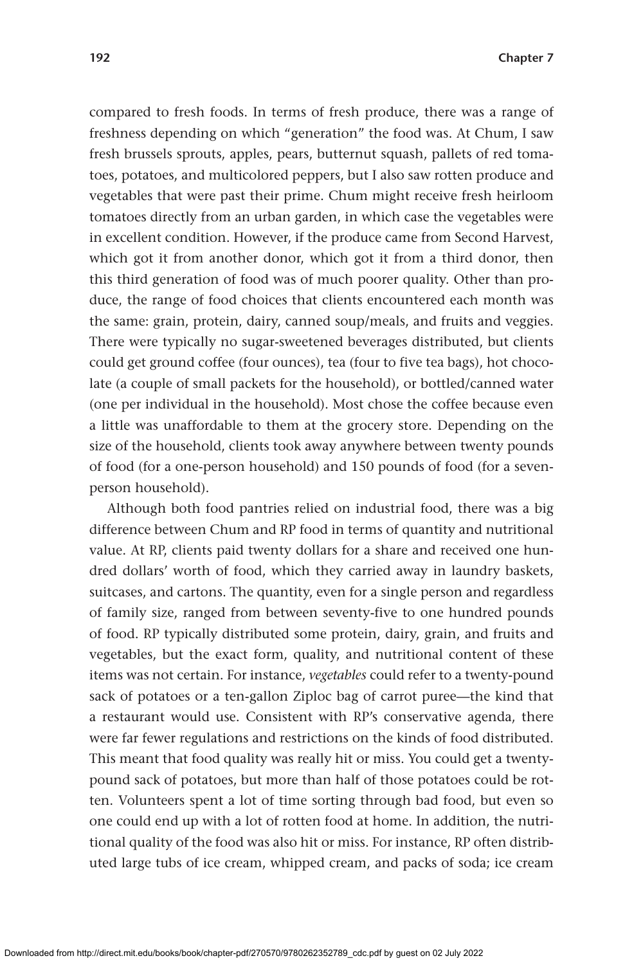compared to fresh foods. In terms of fresh produce, there was a range of freshness depending on which "generation" the food was. At Chum, I saw fresh brussels sprouts, apples, pears, butternut squash, pallets of red tomatoes, potatoes, and multicolored peppers, but I also saw rotten produce and vegetables that were past their prime. Chum might receive fresh heirloom tomatoes directly from an urban garden, in which case the vegetables were in excellent condition. However, if the produce came from Second Harvest, which got it from another donor, which got it from a third donor, then this third generation of food was of much poorer quality. Other than produce, the range of food choices that clients encountered each month was the same: grain, protein, dairy, canned soup/meals, and fruits and veggies. There were typically no sugar-sweetened beverages distributed, but clients could get ground coffee (four ounces), tea (four to five tea bags), hot chocolate (a couple of small packets for the household), or bottled/canned water (one per individual in the household). Most chose the coffee because even a little was unaffordable to them at the grocery store. Depending on the size of the household, clients took away anywhere between twenty pounds of food (for a one-person household) and 150 pounds of food (for a sevenperson household).

Although both food pantries relied on industrial food, there was a big difference between Chum and RP food in terms of quantity and nutritional value. At RP, clients paid twenty dollars for a share and received one hundred dollars' worth of food, which they carried away in laundry baskets, suitcases, and cartons. The quantity, even for a single person and regardless of family size, ranged from between seventy-five to one hundred pounds of food. RP typically distributed some protein, dairy, grain, and fruits and vegetables, but the exact form, quality, and nutritional content of these items was not certain. For instance, *vegetables* could refer to a twenty-pound sack of potatoes or a ten-gallon Ziploc bag of carrot puree—the kind that a restaurant would use. Consistent with RP's conservative agenda, there were far fewer regulations and restrictions on the kinds of food distributed. This meant that food quality was really hit or miss. You could get a twentypound sack of potatoes, but more than half of those potatoes could be rotten. Volunteers spent a lot of time sorting through bad food, but even so one could end up with a lot of rotten food at home. In addition, the nutritional quality of the food was also hit or miss. For instance, RP often distributed large tubs of ice cream, whipped cream, and packs of soda; ice cream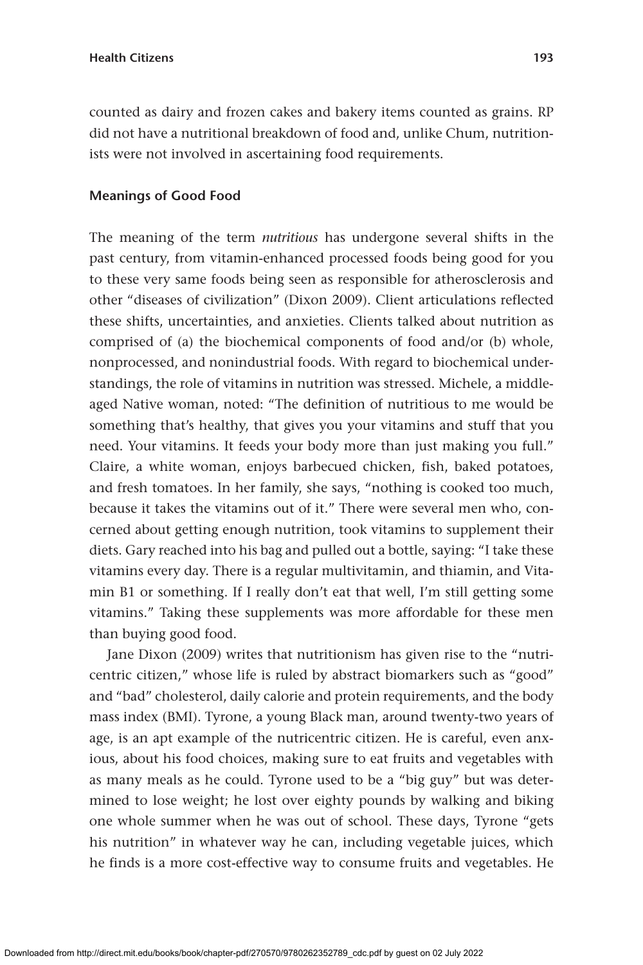counted as dairy and frozen cakes and bakery items counted as grains. RP did not have a nutritional breakdown of food and, unlike Chum, nutritionists were not involved in ascertaining food requirements.

## **Meanings of Good Food**

The meaning of the term *nutritious* has undergone several shifts in the past century, from vitamin-enhanced processed foods being good for you to these very same foods being seen as responsible for atherosclerosis and other "diseases of civilization" (Dixon 2009). Client articulations reflected these shifts, uncertainties, and anxieties. Clients talked about nutrition as comprised of (a) the biochemical components of food and/or (b) whole, nonprocessed, and nonindustrial foods. With regard to biochemical understandings, the role of vitamins in nutrition was stressed. Michele, a middleaged Native woman, noted: "The definition of nutritious to me would be something that's healthy, that gives you your vitamins and stuff that you need. Your vitamins. It feeds your body more than just making you full." Claire, a white woman, enjoys barbecued chicken, fish, baked potatoes, and fresh tomatoes. In her family, she says, "nothing is cooked too much, because it takes the vitamins out of it." There were several men who, concerned about getting enough nutrition, took vitamins to supplement their diets. Gary reached into his bag and pulled out a bottle, saying: "I take these vitamins every day. There is a regular multivitamin, and thiamin, and Vitamin B1 or something. If I really don't eat that well, I'm still getting some vitamins." Taking these supplements was more affordable for these men than buying good food.

Jane Dixon (2009) writes that nutritionism has given rise to the "nutricentric citizen," whose life is ruled by abstract biomarkers such as "good" and "bad" cholesterol, daily calorie and protein requirements, and the body mass index (BMI). Tyrone, a young Black man, around twenty-two years of age, is an apt example of the nutricentric citizen. He is careful, even anxious, about his food choices, making sure to eat fruits and vegetables with as many meals as he could. Tyrone used to be a "big guy" but was determined to lose weight; he lost over eighty pounds by walking and biking one whole summer when he was out of school. These days, Tyrone "gets his nutrition" in whatever way he can, including vegetable juices, which he finds is a more cost-effective way to consume fruits and vegetables. He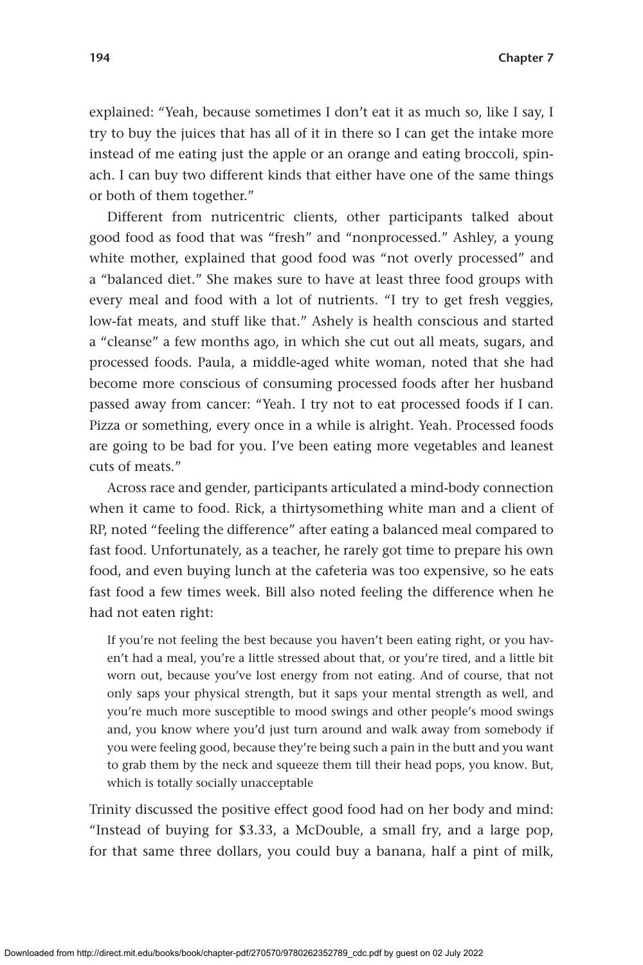explained: "Yeah, because sometimes I don't eat it as much so, like I say, I try to buy the juices that has all of it in there so I can get the intake more instead of me eating just the apple or an orange and eating broccoli, spinach. I can buy two different kinds that either have one of the same things or both of them together."

Different from nutricentric clients, other participants talked about good food as food that was "fresh" and "nonprocessed." Ashley, a young white mother, explained that good food was "not overly processed" and a "balanced diet." She makes sure to have at least three food groups with every meal and food with a lot of nutrients. "I try to get fresh veggies, low-fat meats, and stuff like that." Ashely is health conscious and started a "cleanse" a few months ago, in which she cut out all meats, sugars, and processed foods. Paula, a middle-aged white woman, noted that she had become more conscious of consuming processed foods after her husband passed away from cancer: "Yeah. I try not to eat processed foods if I can. Pizza or something, every once in a while is alright. Yeah. Processed foods are going to be bad for you. I've been eating more vegetables and leanest cuts of meats."

Across race and gender, participants articulated a mind-body connection when it came to food. Rick, a thirtysomething white man and a client of RP, noted "feeling the difference" after eating a balanced meal compared to fast food. Unfortunately, as a teacher, he rarely got time to prepare his own food, and even buying lunch at the cafeteria was too expensive, so he eats fast food a few times week. Bill also noted feeling the difference when he had not eaten right:

If you're not feeling the best because you haven't been eating right, or you haven't had a meal, you're a little stressed about that, or you're tired, and a little bit worn out, because you've lost energy from not eating. And of course, that not only saps your physical strength, but it saps your mental strength as well, and you're much more susceptible to mood swings and other people's mood swings and, you know where you'd just turn around and walk away from somebody if you were feeling good, because they're being such a pain in the butt and you want to grab them by the neck and squeeze them till their head pops, you know. But, which is totally socially unacceptable

Trinity discussed the positive effect good food had on her body and mind: "Instead of buying for \$3.33, a McDouble, a small fry, and a large pop, for that same three dollars, you could buy a banana, half a pint of milk,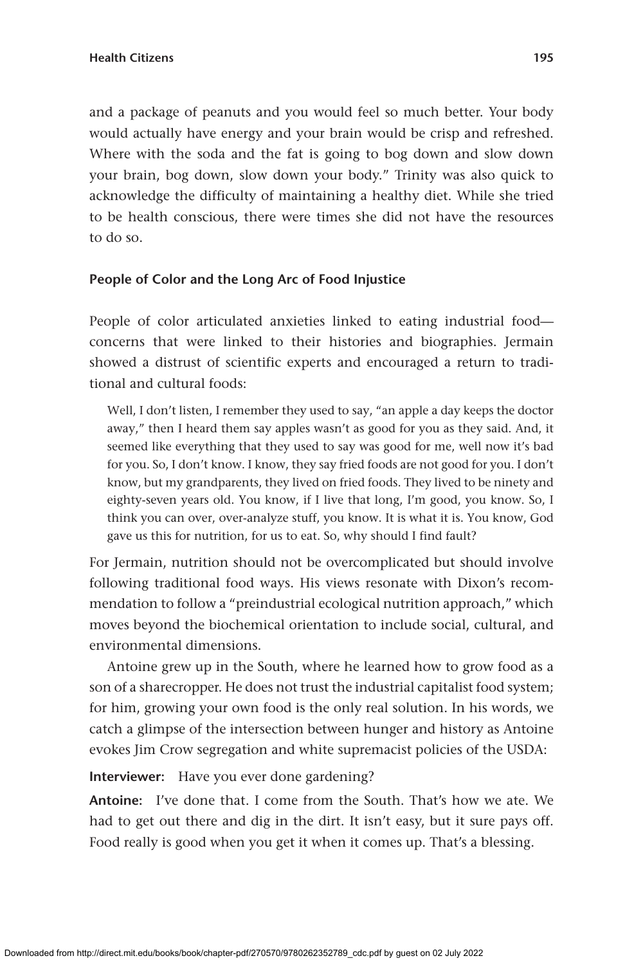and a package of peanuts and you would feel so much better. Your body would actually have energy and your brain would be crisp and refreshed. Where with the soda and the fat is going to bog down and slow down your brain, bog down, slow down your body." Trinity was also quick to acknowledge the difficulty of maintaining a healthy diet. While she tried to be health conscious, there were times she did not have the resources to do so.

## **People of Color and the Long Arc of Food Injustice**

People of color articulated anxieties linked to eating industrial food concerns that were linked to their histories and biographies. Jermain showed a distrust of scientific experts and encouraged a return to traditional and cultural foods:

Well, I don't listen, I remember they used to say, "an apple a day keeps the doctor away," then I heard them say apples wasn't as good for you as they said. And, it seemed like everything that they used to say was good for me, well now it's bad for you. So, I don't know. I know, they say fried foods are not good for you. I don't know, but my grandparents, they lived on fried foods. They lived to be ninety and eighty-seven years old. You know, if I live that long, I'm good, you know. So, I think you can over, over-analyze stuff, you know. It is what it is. You know, God gave us this for nutrition, for us to eat. So, why should I find fault?

For Jermain, nutrition should not be overcomplicated but should involve following traditional food ways. His views resonate with Dixon's recommendation to follow a "preindustrial ecological nutrition approach," which moves beyond the biochemical orientation to include social, cultural, and environmental dimensions.

Antoine grew up in the South, where he learned how to grow food as a son of a sharecropper. He does not trust the industrial capitalist food system; for him, growing your own food is the only real solution. In his words, we catch a glimpse of the intersection between hunger and history as Antoine evokes Jim Crow segregation and white supremacist policies of the USDA:

**Interviewer:** Have you ever done gardening?

**Antoine:** I've done that. I come from the South. That's how we ate. We had to get out there and dig in the dirt. It isn't easy, but it sure pays off. Food really is good when you get it when it comes up. That's a blessing.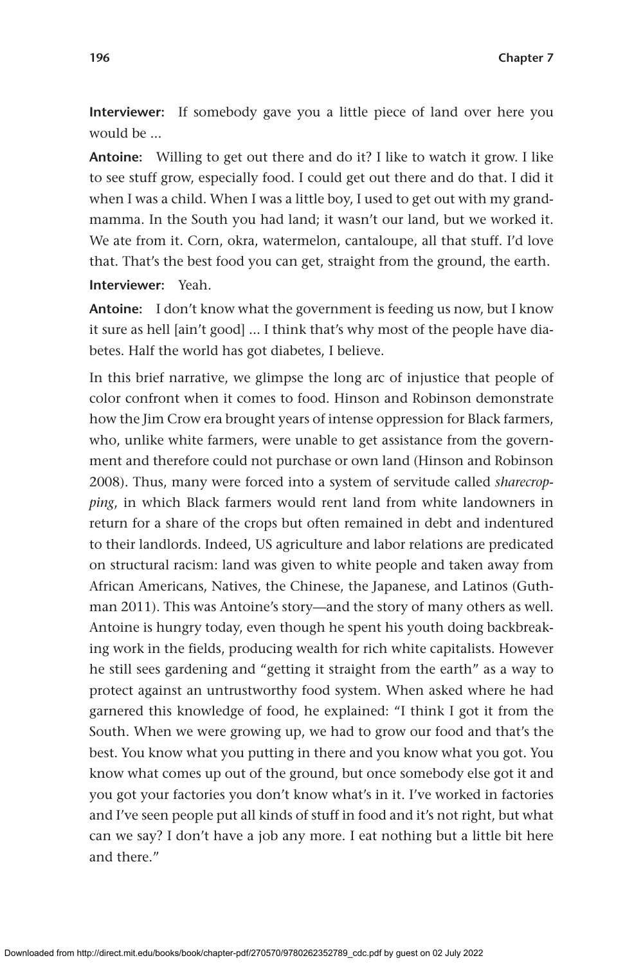**Interviewer:** If somebody gave you a little piece of land over here you would be

**Antoine:** Willing to get out there and do it? I like to watch it grow. I like to see stuff grow, especially food. I could get out there and do that. I did it when I was a child. When I was a little boy, I used to get out with my grandmamma. In the South you had land; it wasn't our land, but we worked it. We ate from it. Corn, okra, watermelon, cantaloupe, all that stuff. I'd love that. That's the best food you can get, straight from the ground, the earth. **Interviewer:** Yeah.

**Antoine:** I don't know what the government is feeding us now, but I know it sure as hell [ain't good] ... I think that's why most of the people have diabetes. Half the world has got diabetes, I believe.

In this brief narrative, we glimpse the long arc of injustice that people of color confront when it comes to food. Hinson and Robinson demonstrate how the Jim Crow era brought years of intense oppression for Black farmers, who, unlike white farmers, were unable to get assistance from the government and therefore could not purchase or own land (Hinson and Robinson 2008). Thus, many were forced into a system of servitude called *sharecropping*, in which Black farmers would rent land from white landowners in return for a share of the crops but often remained in debt and indentured to their landlords. Indeed, US agriculture and labor relations are predicated on structural racism: land was given to white people and taken away from African Americans, Natives, the Chinese, the Japanese, and Latinos (Guthman 2011). This was Antoine's story—and the story of many others as well. Antoine is hungry today, even though he spent his youth doing backbreaking work in the fields, producing wealth for rich white capitalists. However he still sees gardening and "getting it straight from the earth" as a way to protect against an untrustworthy food system. When asked where he had garnered this knowledge of food, he explained: "I think I got it from the South. When we were growing up, we had to grow our food and that's the best. You know what you putting in there and you know what you got. You know what comes up out of the ground, but once somebody else got it and you got your factories you don't know what's in it. I've worked in factories and I've seen people put all kinds of stuff in food and it's not right, but what can we say? I don't have a job any more. I eat nothing but a little bit here and there."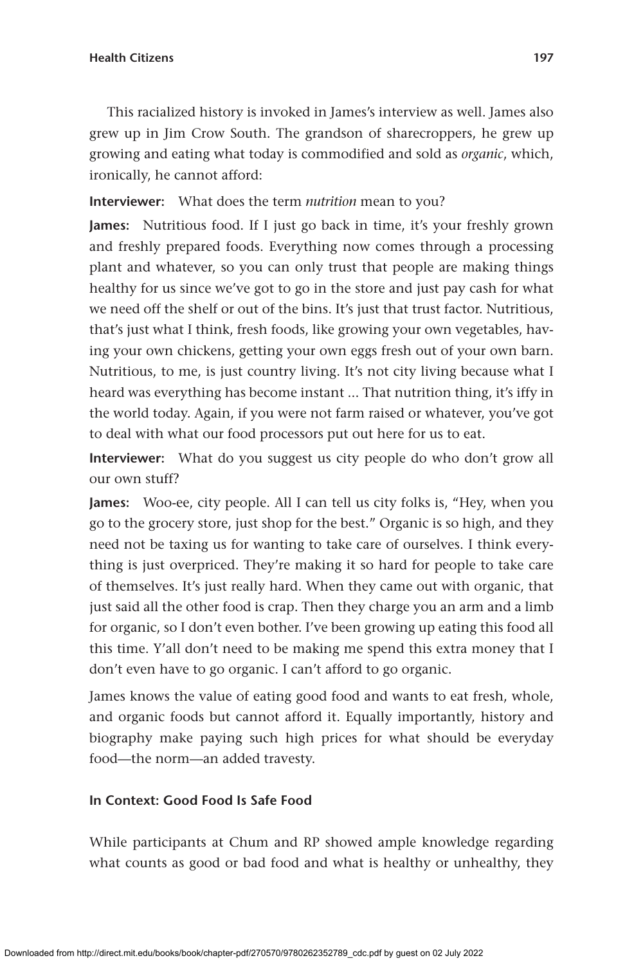This racialized history is invoked in James's interview as well. James also grew up in Jim Crow South. The grandson of sharecroppers, he grew up growing and eating what today is commodified and sold as *organic*, which, ironically, he cannot afford:

**Interviewer:** What does the term *nutrition* mean to you?

**James:** Nutritious food. If I just go back in time, it's your freshly grown and freshly prepared foods. Everything now comes through a processing plant and whatever, so you can only trust that people are making things healthy for us since we've got to go in the store and just pay cash for what we need off the shelf or out of the bins. It's just that trust factor. Nutritious, that's just what I think, fresh foods, like growing your own vegetables, having your own chickens, getting your own eggs fresh out of your own barn. Nutritious, to me, is just country living. It's not city living because what I heard was everything has become instant ... That nutrition thing, it's iffy in the world today. Again, if you were not farm raised or whatever, you've got to deal with what our food processors put out here for us to eat.

**Interviewer:** What do you suggest us city people do who don't grow all our own stuff?

**James:** Woo-ee, city people. All I can tell us city folks is, "Hey, when you go to the grocery store, just shop for the best." Organic is so high, and they need not be taxing us for wanting to take care of ourselves. I think everything is just overpriced. They're making it so hard for people to take care of themselves. It's just really hard. When they came out with organic, that just said all the other food is crap. Then they charge you an arm and a limb for organic, so I don't even bother. I've been growing up eating this food all this time. Y'all don't need to be making me spend this extra money that I don't even have to go organic. I can't afford to go organic.

James knows the value of eating good food and wants to eat fresh, whole, and organic foods but cannot afford it. Equally importantly, history and biography make paying such high prices for what should be everyday food—the norm—an added travesty.

# **In Context: Good Food Is Safe Food**

While participants at Chum and RP showed ample knowledge regarding what counts as good or bad food and what is healthy or unhealthy, they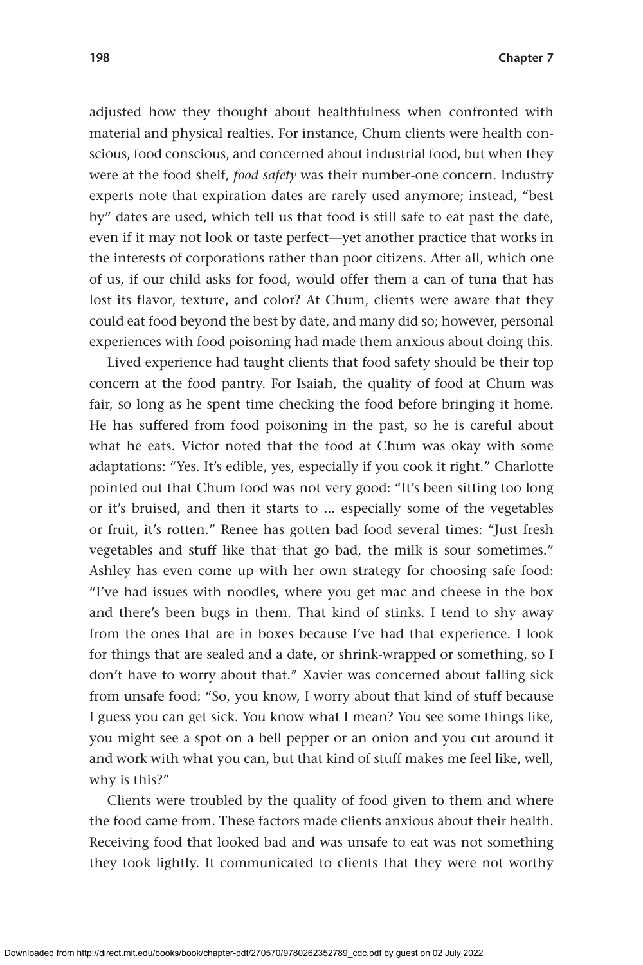adjusted how they thought about healthfulness when confronted with material and physical realties. For instance, Chum clients were health conscious, food conscious, and concerned about industrial food, but when they were at the food shelf, *food safety* was their number-one concern. Industry experts note that expiration dates are rarely used anymore; instead, "best by" dates are used, which tell us that food is still safe to eat past the date, even if it may not look or taste perfect—yet another practice that works in the interests of corporations rather than poor citizens. After all, which one of us, if our child asks for food, would offer them a can of tuna that has lost its flavor, texture, and color? At Chum, clients were aware that they could eat food beyond the best by date, and many did so; however, personal experiences with food poisoning had made them anxious about doing this.

Lived experience had taught clients that food safety should be their top concern at the food pantry. For Isaiah, the quality of food at Chum was fair, so long as he spent time checking the food before bringing it home. He has suffered from food poisoning in the past, so he is careful about what he eats. Victor noted that the food at Chum was okay with some adaptations: "Yes. It's edible, yes, especially if you cook it right." Charlotte pointed out that Chum food was not very good: "It's been sitting too long or it's bruised, and then it starts to ... especially some of the vegetables or fruit, it's rotten." Renee has gotten bad food several times: "Just fresh vegetables and stuff like that that go bad, the milk is sour sometimes." Ashley has even come up with her own strategy for choosing safe food: "I've had issues with noodles, where you get mac and cheese in the box and there's been bugs in them. That kind of stinks. I tend to shy away from the ones that are in boxes because I've had that experience. I look for things that are sealed and a date, or shrink-wrapped or something, so I don't have to worry about that." Xavier was concerned about falling sick from unsafe food: "So, you know, I worry about that kind of stuff because I guess you can get sick. You know what I mean? You see some things like, you might see a spot on a bell pepper or an onion and you cut around it and work with what you can, but that kind of stuff makes me feel like, well, why is this?"

Clients were troubled by the quality of food given to them and where the food came from. These factors made clients anxious about their health. Receiving food that looked bad and was unsafe to eat was not something they took lightly. It communicated to clients that they were not worthy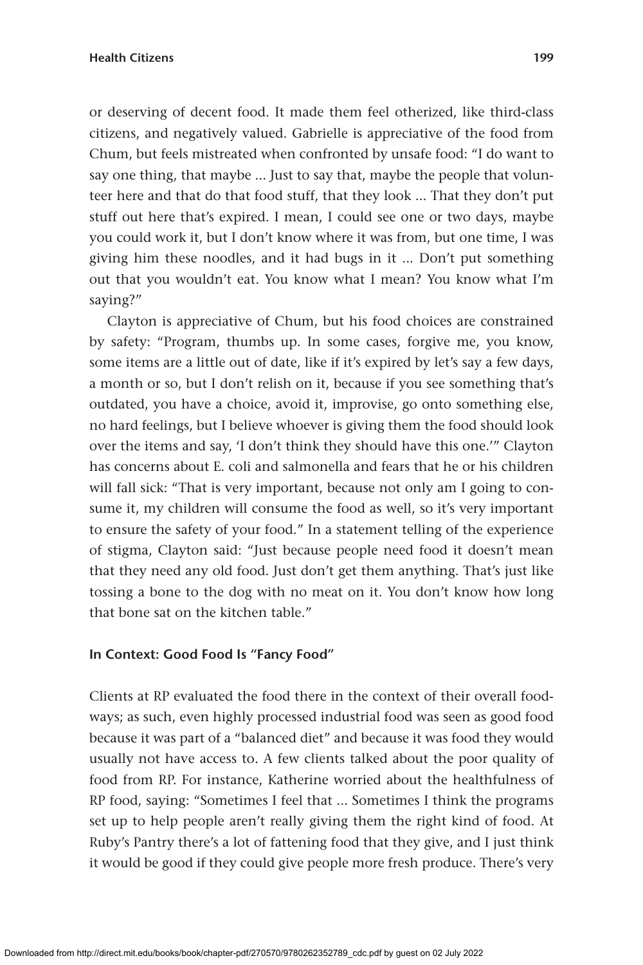or deserving of decent food. It made them feel otherized, like third-class citizens, and negatively valued. Gabrielle is appreciative of the food from Chum, but feels mistreated when confronted by unsafe food: "I do want to say one thing, that maybe ... Just to say that, maybe the people that volunteer here and that do that food stuff, that they look ... That they don't put stuff out here that's expired. I mean, I could see one or two days, maybe you could work it, but I don't know where it was from, but one time, I was giving him these noodles, and it had bugs in it ... Don't put something out that you wouldn't eat. You know what I mean? You know what I'm saying?"

Clayton is appreciative of Chum, but his food choices are constrained by safety: "Program, thumbs up. In some cases, forgive me, you know, some items are a little out of date, like if it's expired by let's say a few days, a month or so, but I don't relish on it, because if you see something that's outdated, you have a choice, avoid it, improvise, go onto something else, no hard feelings, but I believe whoever is giving them the food should look over the items and say, 'I don't think they should have this one.'" Clayton has concerns about E. coli and salmonella and fears that he or his children will fall sick: "That is very important, because not only am I going to consume it, my children will consume the food as well, so it's very important to ensure the safety of your food." In a statement telling of the experience of stigma, Clayton said: "Just because people need food it doesn't mean that they need any old food. Just don't get them anything. That's just like tossing a bone to the dog with no meat on it. You don't know how long that bone sat on the kitchen table."

# **In Context: Good Food Is "Fancy Food"**

Clients at RP evaluated the food there in the context of their overall foodways; as such, even highly processed industrial food was seen as good food because it was part of a "balanced diet" and because it was food they would usually not have access to. A few clients talked about the poor quality of food from RP. For instance, Katherine worried about the healthfulness of RP food, saying: "Sometimes I feel that ... Sometimes I think the programs set up to help people aren't really giving them the right kind of food. At Ruby's Pantry there's a lot of fattening food that they give, and I just think it would be good if they could give people more fresh produce. There's very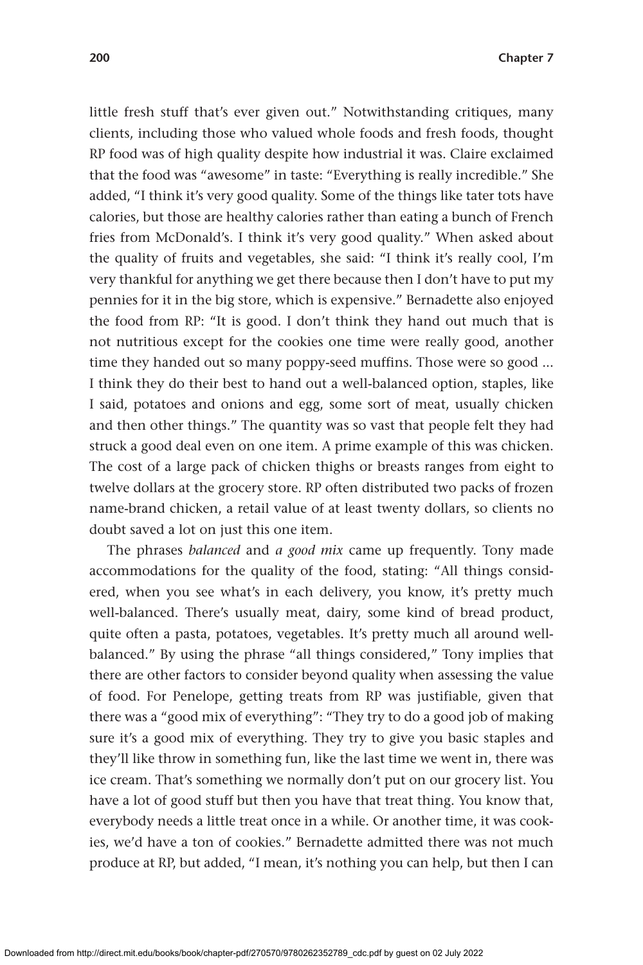little fresh stuff that's ever given out." Notwithstanding critiques, many clients, including those who valued whole foods and fresh foods, thought RP food was of high quality despite how industrial it was. Claire exclaimed that the food was "awesome" in taste: "Everything is really incredible." She added, "I think it's very good quality. Some of the things like tater tots have calories, but those are healthy calories rather than eating a bunch of French fries from McDonald's. I think it's very good quality." When asked about the quality of fruits and vegetables, she said: "I think it's really cool, I'm very thankful for anything we get there because then I don't have to put my pennies for it in the big store, which is expensive." Bernadette also enjoyed the food from RP: "It is good. I don't think they hand out much that is not nutritious except for the cookies one time were really good, another time they handed out so many poppy-seed muffins. Those were so good ... I think they do their best to hand out a well-balanced option, staples, like I said, potatoes and onions and egg, some sort of meat, usually chicken and then other things." The quantity was so vast that people felt they had struck a good deal even on one item. A prime example of this was chicken. The cost of a large pack of chicken thighs or breasts ranges from eight to twelve dollars at the grocery store. RP often distributed two packs of frozen name-brand chicken, a retail value of at least twenty dollars, so clients no doubt saved a lot on just this one item.

The phrases *balanced* and *a good mix* came up frequently. Tony made accommodations for the quality of the food, stating: "All things considered, when you see what's in each delivery, you know, it's pretty much well-balanced. There's usually meat, dairy, some kind of bread product, quite often a pasta, potatoes, vegetables. It's pretty much all around wellbalanced." By using the phrase "all things considered," Tony implies that there are other factors to consider beyond quality when assessing the value of food. For Penelope, getting treats from RP was justifiable, given that there was a "good mix of everything": "They try to do a good job of making sure it's a good mix of everything. They try to give you basic staples and they'll like throw in something fun, like the last time we went in, there was ice cream. That's something we normally don't put on our grocery list. You have a lot of good stuff but then you have that treat thing. You know that, everybody needs a little treat once in a while. Or another time, it was cookies, we'd have a ton of cookies." Bernadette admitted there was not much produce at RP, but added, "I mean, it's nothing you can help, but then I can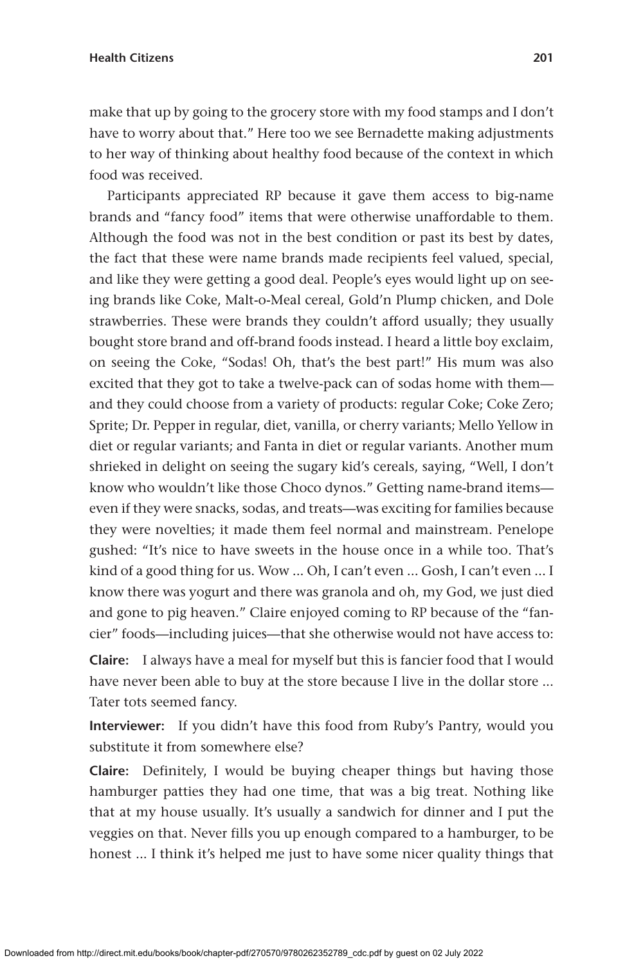#### **Health Citizens 201**

make that up by going to the grocery store with my food stamps and I don't have to worry about that." Here too we see Bernadette making adjustments to her way of thinking about healthy food because of the context in which food was received.

Participants appreciated RP because it gave them access to big-name brands and "fancy food" items that were otherwise unaffordable to them. Although the food was not in the best condition or past its best by dates, the fact that these were name brands made recipients feel valued, special, and like they were getting a good deal. People's eyes would light up on seeing brands like Coke, Malt-o-Meal cereal, Gold'n Plump chicken, and Dole strawberries. These were brands they couldn't afford usually; they usually bought store brand and off-brand foods instead. I heard a little boy exclaim, on seeing the Coke, "Sodas! Oh, that's the best part!" His mum was also excited that they got to take a twelve-pack can of sodas home with them and they could choose from a variety of products: regular Coke; Coke Zero; Sprite; Dr. Pepper in regular, diet, vanilla, or cherry variants; Mello Yellow in diet or regular variants; and Fanta in diet or regular variants. Another mum shrieked in delight on seeing the sugary kid's cereals, saying, "Well, I don't know who wouldn't like those Choco dynos." Getting name-brand items even if they were snacks, sodas, and treats—was exciting for families because they were novelties; it made them feel normal and mainstream. Penelope gushed: "It's nice to have sweets in the house once in a while too. That's kind of a good thing for us. Wow ... Oh, I can't even ... Gosh, I can't even ... I know there was yogurt and there was granola and oh, my God, we just died and gone to pig heaven." Claire enjoyed coming to RP because of the "fancier" foods—including juices—that she otherwise would not have access to:

**Claire:** I always have a meal for myself but this is fancier food that I would have never been able to buy at the store because I live in the dollar store ... Tater tots seemed fancy.

**Interviewer:** If you didn't have this food from Ruby's Pantry, would you substitute it from somewhere else?

**Claire:** Definitely, I would be buying cheaper things but having those hamburger patties they had one time, that was a big treat. Nothing like that at my house usually. It's usually a sandwich for dinner and I put the veggies on that. Never fills you up enough compared to a hamburger, to be honest ... I think it's helped me just to have some nicer quality things that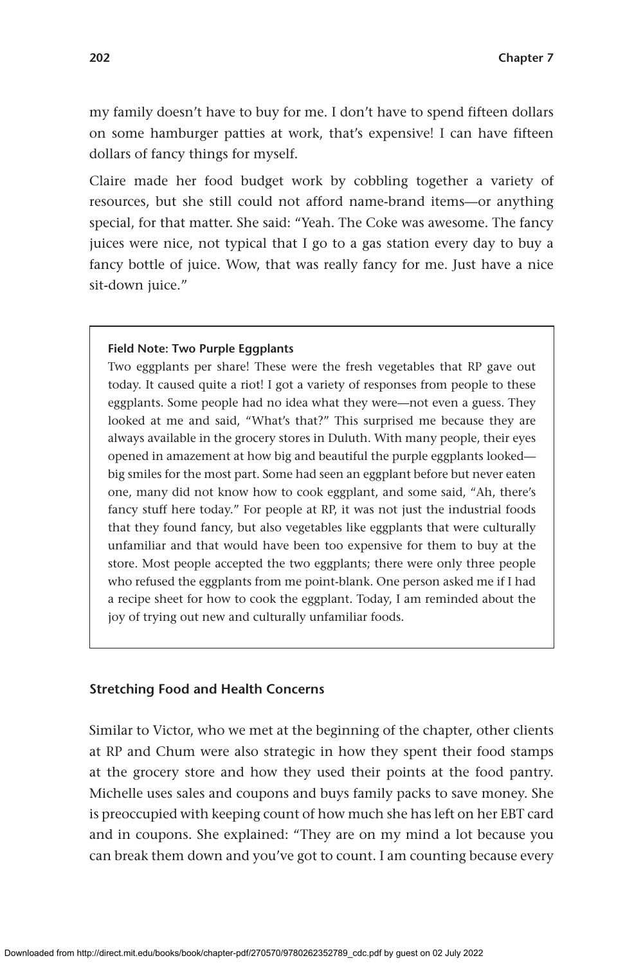my family doesn't have to buy for me. I don't have to spend fifteen dollars on some hamburger patties at work, that's expensive! I can have fifteen dollars of fancy things for myself.

Claire made her food budget work by cobbling together a variety of resources, but she still could not afford name-brand items—or anything special, for that matter. She said: "Yeah. The Coke was awesome. The fancy juices were nice, not typical that I go to a gas station every day to buy a fancy bottle of juice. Wow, that was really fancy for me. Just have a nice sit-down juice."

## **Field Note: Two Purple Eggplants**

Two eggplants per share! These were the fresh vegetables that RP gave out today. It caused quite a riot! I got a variety of responses from people to these eggplants. Some people had no idea what they were—not even a guess. They looked at me and said, "What's that?" This surprised me because they are always available in the grocery stores in Duluth. With many people, their eyes opened in amazement at how big and beautiful the purple eggplants looked big smiles for the most part. Some had seen an eggplant before but never eaten one, many did not know how to cook eggplant, and some said, "Ah, there's fancy stuff here today." For people at RP, it was not just the industrial foods that they found fancy, but also vegetables like eggplants that were culturally unfamiliar and that would have been too expensive for them to buy at the store. Most people accepted the two eggplants; there were only three people who refused the eggplants from me point-blank. One person asked me if I had a recipe sheet for how to cook the eggplant. Today, I am reminded about the joy of trying out new and culturally unfamiliar foods.

## **Stretching Food and Health Concerns**

Similar to Victor, who we met at the beginning of the chapter, other clients at RP and Chum were also strategic in how they spent their food stamps at the grocery store and how they used their points at the food pantry. Michelle uses sales and coupons and buys family packs to save money. She is preoccupied with keeping count of how much she has left on her EBT card and in coupons. She explained: "They are on my mind a lot because you can break them down and you've got to count. I am counting because every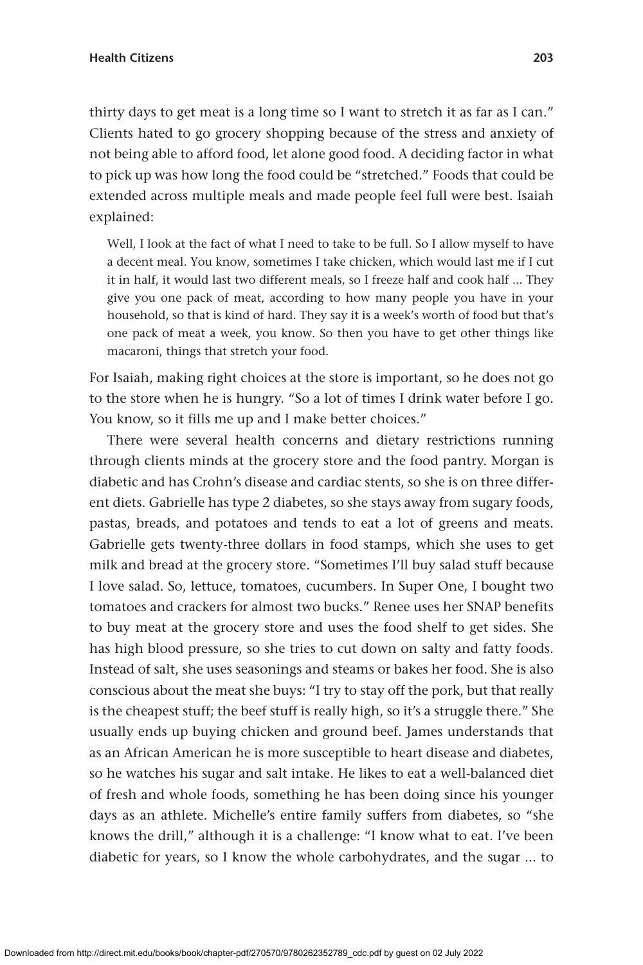thirty days to get meat is a long time so I want to stretch it as far as I can." Clients hated to go grocery shopping because of the stress and anxiety of not being able to afford food, let alone good food. A deciding factor in what to pick up was how long the food could be "stretched." Foods that could be extended across multiple meals and made people feel full were best. Isaiah explained:

Well, I look at the fact of what I need to take to be full. So I allow myself to have a decent meal. You know, sometimes I take chicken, which would last me if I cut it in half, it would last two different meals, so I freeze half and cook half ... They give you one pack of meat, according to how many people you have in your household, so that is kind of hard. They say it is a week's worth of food but that's one pack of meat a week, you know. So then you have to get other things like macaroni, things that stretch your food.

For Isaiah, making right choices at the store is important, so he does not go to the store when he is hungry. "So a lot of times I drink water before I go. You know, so it fills me up and I make better choices."

There were several health concerns and dietary restrictions running through clients minds at the grocery store and the food pantry. Morgan is diabetic and has Crohn's disease and cardiac stents, so she is on three different diets. Gabrielle has type 2 diabetes, so she stays away from sugary foods, pastas, breads, and potatoes and tends to eat a lot of greens and meats. Gabrielle gets twenty-three dollars in food stamps, which she uses to get milk and bread at the grocery store. "Sometimes I'll buy salad stuff because I love salad. So, lettuce, tomatoes, cucumbers. In Super One, I bought two tomatoes and crackers for almost two bucks." Renee uses her SNAP benefits to buy meat at the grocery store and uses the food shelf to get sides. She has high blood pressure, so she tries to cut down on salty and fatty foods. Instead of salt, she uses seasonings and steams or bakes her food. She is also conscious about the meat she buys: "I try to stay off the pork, but that really is the cheapest stuff; the beef stuff is really high, so it's a struggle there." She usually ends up buying chicken and ground beef. James understands that as an African American he is more susceptible to heart disease and diabetes, so he watches his sugar and salt intake. He likes to eat a well-balanced diet of fresh and whole foods, something he has been doing since his younger days as an athlete. Michelle's entire family suffers from diabetes, so "she knows the drill," although it is a challenge: "I know what to eat. I've been diabetic for years, so I know the whole carbohydrates, and the sugar ... to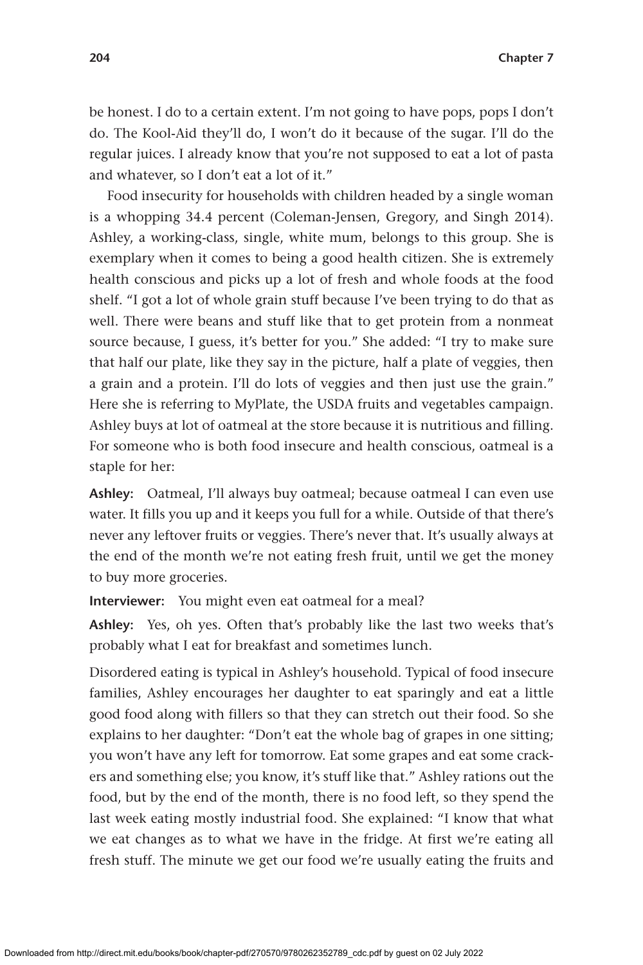be honest. I do to a certain extent. I'm not going to have pops, pops I don't do. The Kool-Aid they'll do, I won't do it because of the sugar. I'll do the regular juices. I already know that you're not supposed to eat a lot of pasta and whatever, so I don't eat a lot of it."

Food insecurity for households with children headed by a single woman is a whopping 34.4 percent (Coleman-Jensen, Gregory, and Singh 2014). Ashley, a working-class, single, white mum, belongs to this group. She is exemplary when it comes to being a good health citizen. She is extremely health conscious and picks up a lot of fresh and whole foods at the food shelf. "I got a lot of whole grain stuff because I've been trying to do that as well. There were beans and stuff like that to get protein from a nonmeat source because, I guess, it's better for you." She added: "I try to make sure that half our plate, like they say in the picture, half a plate of veggies, then a grain and a protein. I'll do lots of veggies and then just use the grain." Here she is referring to MyPlate, the USDA fruits and vegetables campaign. Ashley buys at lot of oatmeal at the store because it is nutritious and filling. For someone who is both food insecure and health conscious, oatmeal is a staple for her:

**Ashley:** Oatmeal, I'll always buy oatmeal; because oatmeal I can even use water. It fills you up and it keeps you full for a while. Outside of that there's never any leftover fruits or veggies. There's never that. It's usually always at the end of the month we're not eating fresh fruit, until we get the money to buy more groceries.

**Interviewer:** You might even eat oatmeal for a meal?

**Ashley:** Yes, oh yes. Often that's probably like the last two weeks that's probably what I eat for breakfast and sometimes lunch.

Disordered eating is typical in Ashley's household. Typical of food insecure families, Ashley encourages her daughter to eat sparingly and eat a little good food along with fillers so that they can stretch out their food. So she explains to her daughter: "Don't eat the whole bag of grapes in one sitting; you won't have any left for tomorrow. Eat some grapes and eat some crackers and something else; you know, it's stuff like that." Ashley rations out the food, but by the end of the month, there is no food left, so they spend the last week eating mostly industrial food. She explained: "I know that what we eat changes as to what we have in the fridge. At first we're eating all fresh stuff. The minute we get our food we're usually eating the fruits and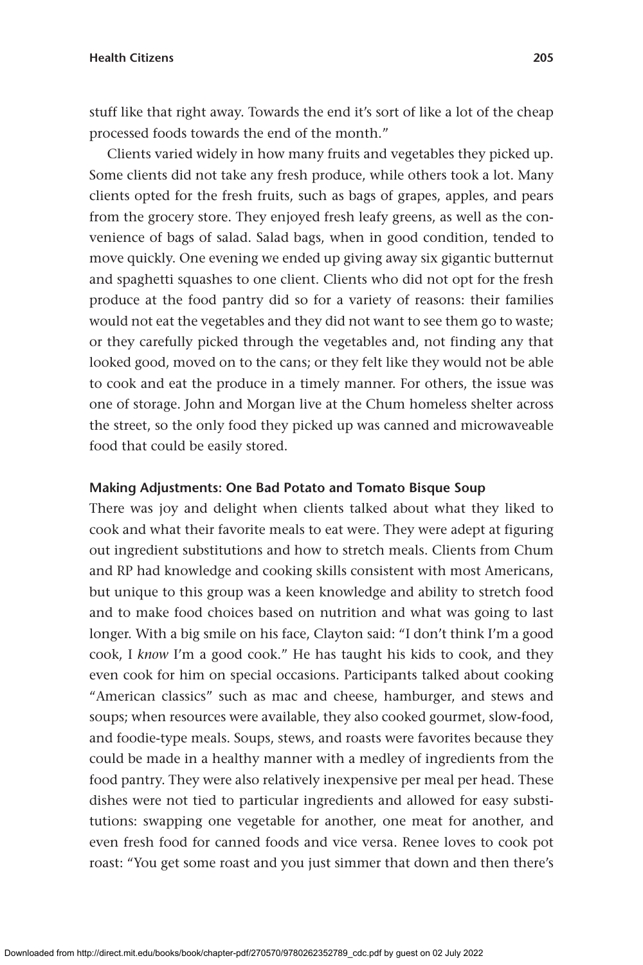stuff like that right away. Towards the end it's sort of like a lot of the cheap processed foods towards the end of the month."

Clients varied widely in how many fruits and vegetables they picked up. Some clients did not take any fresh produce, while others took a lot. Many clients opted for the fresh fruits, such as bags of grapes, apples, and pears from the grocery store. They enjoyed fresh leafy greens, as well as the convenience of bags of salad. Salad bags, when in good condition, tended to move quickly. One evening we ended up giving away six gigantic butternut and spaghetti squashes to one client. Clients who did not opt for the fresh produce at the food pantry did so for a variety of reasons: their families would not eat the vegetables and they did not want to see them go to waste; or they carefully picked through the vegetables and, not finding any that looked good, moved on to the cans; or they felt like they would not be able to cook and eat the produce in a timely manner. For others, the issue was one of storage. John and Morgan live at the Chum homeless shelter across the street, so the only food they picked up was canned and microwaveable food that could be easily stored.

### **Making Adjustments: One Bad Potato and Tomato Bisque Soup**

There was joy and delight when clients talked about what they liked to cook and what their favorite meals to eat were. They were adept at figuring out ingredient substitutions and how to stretch meals. Clients from Chum and RP had knowledge and cooking skills consistent with most Americans, but unique to this group was a keen knowledge and ability to stretch food and to make food choices based on nutrition and what was going to last longer. With a big smile on his face, Clayton said: "I don't think I'm a good cook, I *know* I'm a good cook." He has taught his kids to cook, and they even cook for him on special occasions. Participants talked about cooking "American classics" such as mac and cheese, hamburger, and stews and soups; when resources were available, they also cooked gourmet, slow-food, and foodie-type meals. Soups, stews, and roasts were favorites because they could be made in a healthy manner with a medley of ingredients from the food pantry. They were also relatively inexpensive per meal per head. These dishes were not tied to particular ingredients and allowed for easy substitutions: swapping one vegetable for another, one meat for another, and even fresh food for canned foods and vice versa. Renee loves to cook pot roast: "You get some roast and you just simmer that down and then there's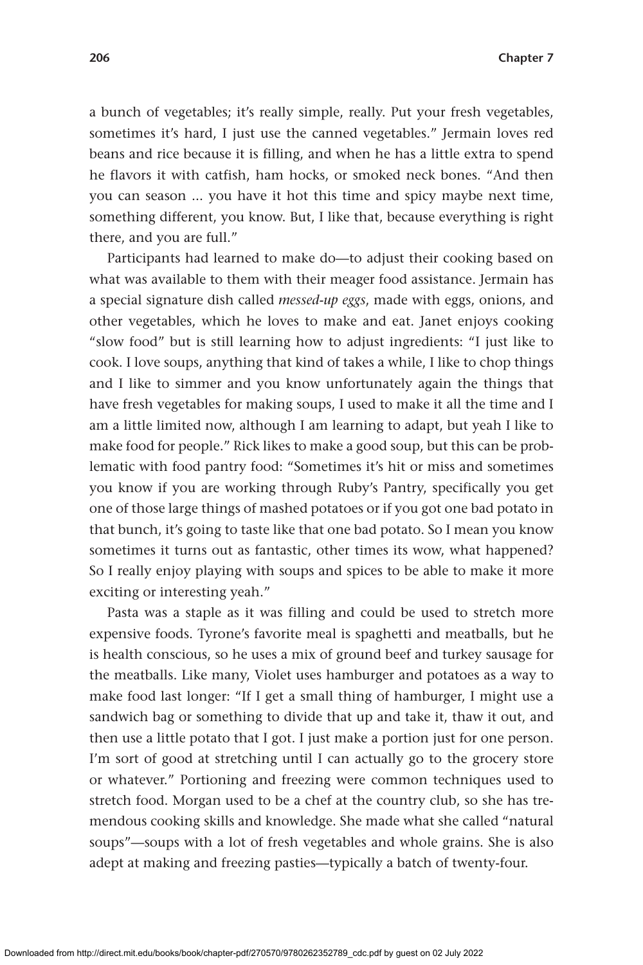a bunch of vegetables; it's really simple, really. Put your fresh vegetables, sometimes it's hard, I just use the canned vegetables." Jermain loves red beans and rice because it is filling, and when he has a little extra to spend he flavors it with catfish, ham hocks, or smoked neck bones. "And then you can season ... you have it hot this time and spicy maybe next time, something different, you know. But, I like that, because everything is right there, and you are full."

Participants had learned to make do—to adjust their cooking based on what was available to them with their meager food assistance. Jermain has a special signature dish called *messed-up eggs*, made with eggs, onions, and other vegetables, which he loves to make and eat. Janet enjoys cooking "slow food" but is still learning how to adjust ingredients: "I just like to cook. I love soups, anything that kind of takes a while, I like to chop things and I like to simmer and you know unfortunately again the things that have fresh vegetables for making soups, I used to make it all the time and I am a little limited now, although I am learning to adapt, but yeah I like to make food for people." Rick likes to make a good soup, but this can be problematic with food pantry food: "Sometimes it's hit or miss and sometimes you know if you are working through Ruby's Pantry, specifically you get one of those large things of mashed potatoes or if you got one bad potato in that bunch, it's going to taste like that one bad potato. So I mean you know sometimes it turns out as fantastic, other times its wow, what happened? So I really enjoy playing with soups and spices to be able to make it more exciting or interesting yeah."

Pasta was a staple as it was filling and could be used to stretch more expensive foods. Tyrone's favorite meal is spaghetti and meatballs, but he is health conscious, so he uses a mix of ground beef and turkey sausage for the meatballs. Like many, Violet uses hamburger and potatoes as a way to make food last longer: "If I get a small thing of hamburger, I might use a sandwich bag or something to divide that up and take it, thaw it out, and then use a little potato that I got. I just make a portion just for one person. I'm sort of good at stretching until I can actually go to the grocery store or whatever." Portioning and freezing were common techniques used to stretch food. Morgan used to be a chef at the country club, so she has tremendous cooking skills and knowledge. She made what she called "natural soups"—soups with a lot of fresh vegetables and whole grains. She is also adept at making and freezing pasties—typically a batch of twenty-four.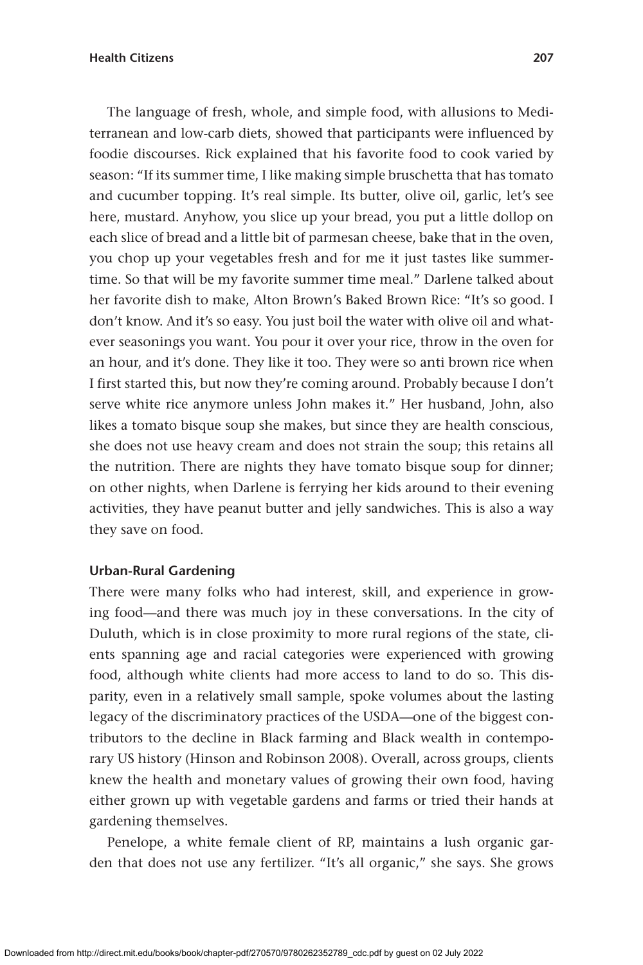The language of fresh, whole, and simple food, with allusions to Mediterranean and low-carb diets, showed that participants were influenced by foodie discourses. Rick explained that his favorite food to cook varied by season: "If its summer time, I like making simple bruschetta that has tomato and cucumber topping. It's real simple. Its butter, olive oil, garlic, let's see here, mustard. Anyhow, you slice up your bread, you put a little dollop on each slice of bread and a little bit of parmesan cheese, bake that in the oven, you chop up your vegetables fresh and for me it just tastes like summertime. So that will be my favorite summer time meal." Darlene talked about her favorite dish to make, Alton Brown's Baked Brown Rice: "It's so good. I don't know. And it's so easy. You just boil the water with olive oil and whatever seasonings you want. You pour it over your rice, throw in the oven for an hour, and it's done. They like it too. They were so anti brown rice when I first started this, but now they're coming around. Probably because I don't serve white rice anymore unless John makes it." Her husband, John, also likes a tomato bisque soup she makes, but since they are health conscious, she does not use heavy cream and does not strain the soup; this retains all the nutrition. There are nights they have tomato bisque soup for dinner; on other nights, when Darlene is ferrying her kids around to their evening activities, they have peanut butter and jelly sandwiches. This is also a way they save on food.

## **Urban-Rural Gardening**

There were many folks who had interest, skill, and experience in growing food—and there was much joy in these conversations. In the city of Duluth, which is in close proximity to more rural regions of the state, clients spanning age and racial categories were experienced with growing food, although white clients had more access to land to do so. This disparity, even in a relatively small sample, spoke volumes about the lasting legacy of the discriminatory practices of the USDA—one of the biggest contributors to the decline in Black farming and Black wealth in contemporary US history (Hinson and Robinson 2008). Overall, across groups, clients knew the health and monetary values of growing their own food, having either grown up with vegetable gardens and farms or tried their hands at gardening themselves.

Penelope, a white female client of RP, maintains a lush organic garden that does not use any fertilizer. "It's all organic," she says. She grows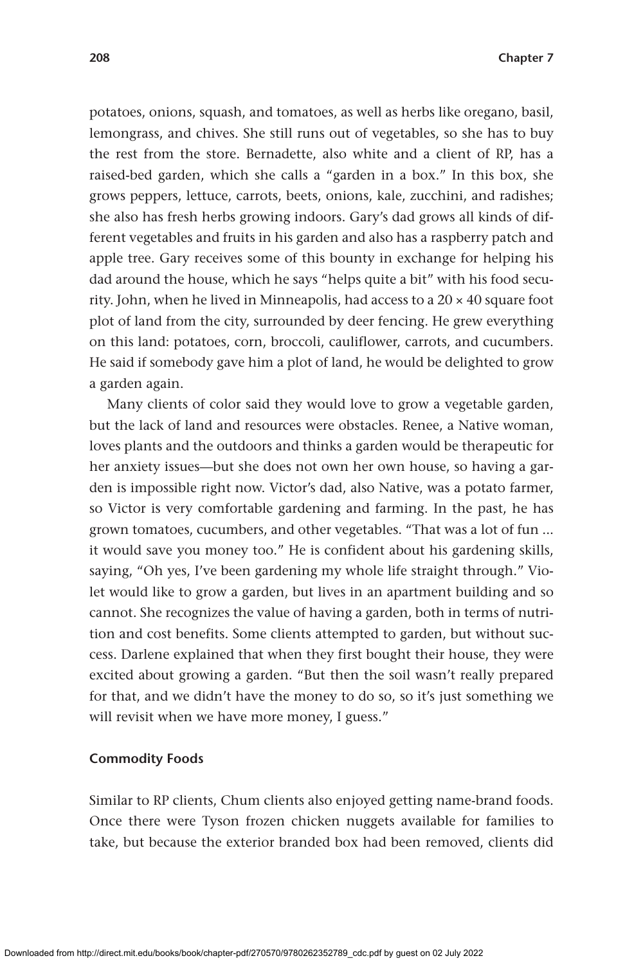potatoes, onions, squash, and tomatoes, as well as herbs like oregano, basil, lemongrass, and chives. She still runs out of vegetables, so she has to buy the rest from the store. Bernadette, also white and a client of RP, has a raised-bed garden, which she calls a "garden in a box." In this box, she grows peppers, lettuce, carrots, beets, onions, kale, zucchini, and radishes; she also has fresh herbs growing indoors. Gary's dad grows all kinds of different vegetables and fruits in his garden and also has a raspberry patch and apple tree. Gary receives some of this bounty in exchange for helping his dad around the house, which he says "helps quite a bit" with his food security. John, when he lived in Minneapolis, had access to a 20 × 40 square foot plot of land from the city, surrounded by deer fencing. He grew everything on this land: potatoes, corn, broccoli, cauliflower, carrots, and cucumbers. He said if somebody gave him a plot of land, he would be delighted to grow a garden again.

Many clients of color said they would love to grow a vegetable garden, but the lack of land and resources were obstacles. Renee, a Native woman, loves plants and the outdoors and thinks a garden would be therapeutic for her anxiety issues—but she does not own her own house, so having a garden is impossible right now. Victor's dad, also Native, was a potato farmer, so Victor is very comfortable gardening and farming. In the past, he has grown tomatoes, cucumbers, and other vegetables. "That was a lot of fun ... it would save you money too." He is confident about his gardening skills, saying, "Oh yes, I've been gardening my whole life straight through." Violet would like to grow a garden, but lives in an apartment building and so cannot. She recognizes the value of having a garden, both in terms of nutrition and cost benefits. Some clients attempted to garden, but without success. Darlene explained that when they first bought their house, they were excited about growing a garden. "But then the soil wasn't really prepared for that, and we didn't have the money to do so, so it's just something we will revisit when we have more money, I guess."

#### **Commodity Foods**

Similar to RP clients, Chum clients also enjoyed getting name-brand foods. Once there were Tyson frozen chicken nuggets available for families to take, but because the exterior branded box had been removed, clients did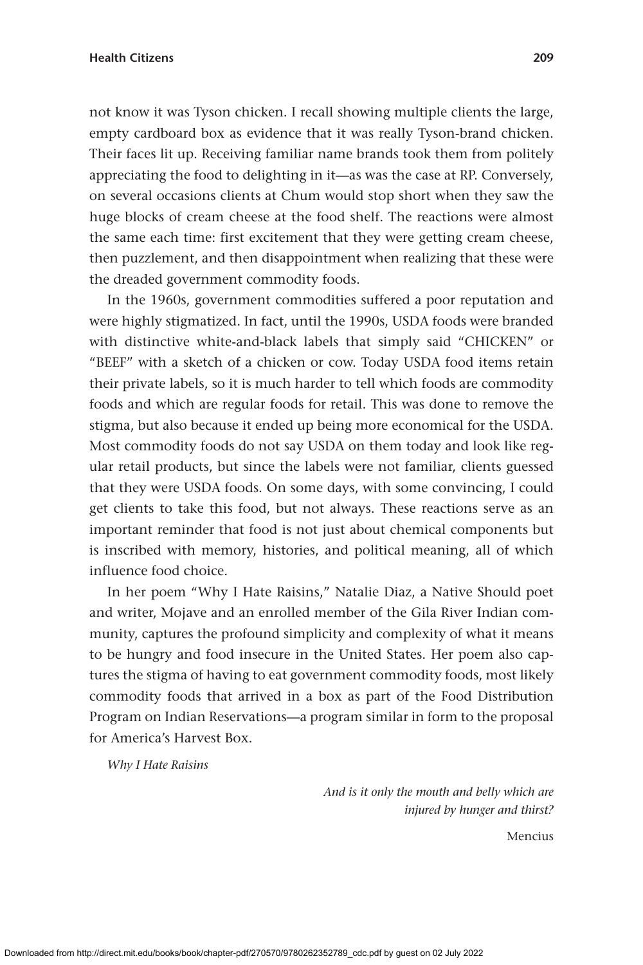#### **Health Citizens 209**

not know it was Tyson chicken. I recall showing multiple clients the large, empty cardboard box as evidence that it was really Tyson-brand chicken. Their faces lit up. Receiving familiar name brands took them from politely appreciating the food to delighting in it—as was the case at RP. Conversely, on several occasions clients at Chum would stop short when they saw the huge blocks of cream cheese at the food shelf. The reactions were almost the same each time: first excitement that they were getting cream cheese, then puzzlement, and then disappointment when realizing that these were the dreaded government commodity foods.

In the 1960s, government commodities suffered a poor reputation and were highly stigmatized. In fact, until the 1990s, USDA foods were branded with distinctive white-and-black labels that simply said "CHICKEN" or "BEEF" with a sketch of a chicken or cow. Today USDA food items retain their private labels, so it is much harder to tell which foods are commodity foods and which are regular foods for retail. This was done to remove the stigma, but also because it ended up being more economical for the USDA. Most commodity foods do not say USDA on them today and look like regular retail products, but since the labels were not familiar, clients guessed that they were USDA foods. On some days, with some convincing, I could get clients to take this food, but not always. These reactions serve as an important reminder that food is not just about chemical components but is inscribed with memory, histories, and political meaning, all of which influence food choice.

In her poem "Why I Hate Raisins," Natalie Diaz, a Native Should poet and writer, Mojave and an enrolled member of the Gila River Indian community, captures the profound simplicity and complexity of what it means to be hungry and food insecure in the United States. Her poem also captures the stigma of having to eat government commodity foods, most likely commodity foods that arrived in a box as part of the Food Distribution Program on Indian Reservations—a program similar in form to the proposal for America's Harvest Box.

*Why I Hate Raisins*

*And is it only the mouth and belly which are injured by hunger and thirst?*

Mencius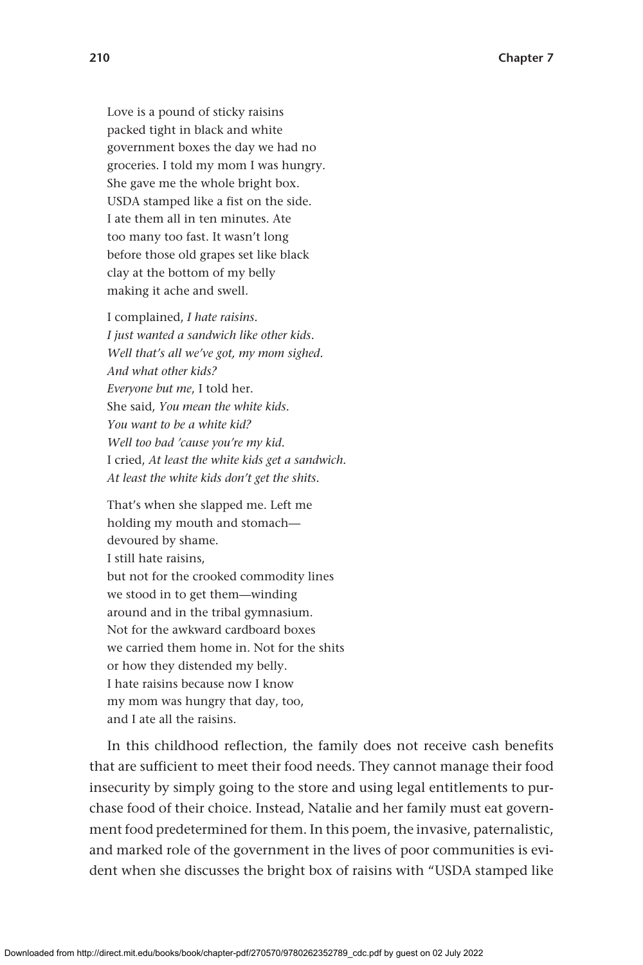Love is a pound of sticky raisins packed tight in black and white government boxes the day we had no groceries. I told my mom I was hungry. She gave me the whole bright box. USDA stamped like a fist on the side. I ate them all in ten minutes. Ate too many too fast. It wasn't long before those old grapes set like black clay at the bottom of my belly making it ache and swell.

I complained, *I hate raisins. I just wanted a sandwich like other kids. Well that's all we've got, my mom sighed. And what other kids? Everyone but me*, I told her. She said, *You mean the white kids. You want to be a white kid? Well too bad 'cause you're my kid.* I cried, *At least the white kids get a sandwich. At least the white kids don't get the shits.*

That's when she slapped me. Left me holding my mouth and stomach devoured by shame. I still hate raisins, but not for the crooked commodity lines we stood in to get them—winding around and in the tribal gymnasium. Not for the awkward cardboard boxes we carried them home in. Not for the shits or how they distended my belly. I hate raisins because now I know my mom was hungry that day, too, and I ate all the raisins.

In this childhood reflection, the family does not receive cash benefits that are sufficient to meet their food needs. They cannot manage their food insecurity by simply going to the store and using legal entitlements to purchase food of their choice. Instead, Natalie and her family must eat government food predetermined for them. In this poem, the invasive, paternalistic, and marked role of the government in the lives of poor communities is evident when she discusses the bright box of raisins with "USDA stamped like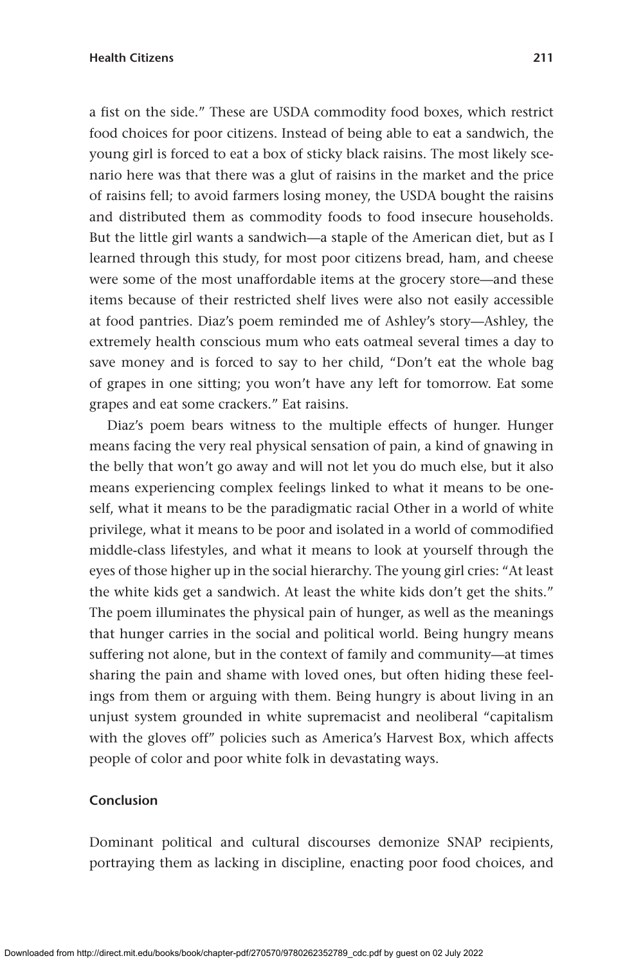a fist on the side." These are USDA commodity food boxes, which restrict food choices for poor citizens. Instead of being able to eat a sandwich, the young girl is forced to eat a box of sticky black raisins. The most likely scenario here was that there was a glut of raisins in the market and the price of raisins fell; to avoid farmers losing money, the USDA bought the raisins and distributed them as commodity foods to food insecure households. But the little girl wants a sandwich—a staple of the American diet, but as I learned through this study, for most poor citizens bread, ham, and cheese were some of the most unaffordable items at the grocery store—and these items because of their restricted shelf lives were also not easily accessible at food pantries. Diaz's poem reminded me of Ashley's story—Ashley, the extremely health conscious mum who eats oatmeal several times a day to save money and is forced to say to her child, "Don't eat the whole bag of grapes in one sitting; you won't have any left for tomorrow. Eat some grapes and eat some crackers." Eat raisins.

Diaz's poem bears witness to the multiple effects of hunger. Hunger means facing the very real physical sensation of pain, a kind of gnawing in the belly that won't go away and will not let you do much else, but it also means experiencing complex feelings linked to what it means to be oneself, what it means to be the paradigmatic racial Other in a world of white privilege, what it means to be poor and isolated in a world of commodified middle-class lifestyles, and what it means to look at yourself through the eyes of those higher up in the social hierarchy. The young girl cries: "At least the white kids get a sandwich. At least the white kids don't get the shits." The poem illuminates the physical pain of hunger, as well as the meanings that hunger carries in the social and political world. Being hungry means suffering not alone, but in the context of family and community—at times sharing the pain and shame with loved ones, but often hiding these feelings from them or arguing with them. Being hungry is about living in an unjust system grounded in white supremacist and neoliberal "capitalism with the gloves off" policies such as America's Harvest Box, which affects people of color and poor white folk in devastating ways.

## **Conclusion**

Dominant political and cultural discourses demonize SNAP recipients, portraying them as lacking in discipline, enacting poor food choices, and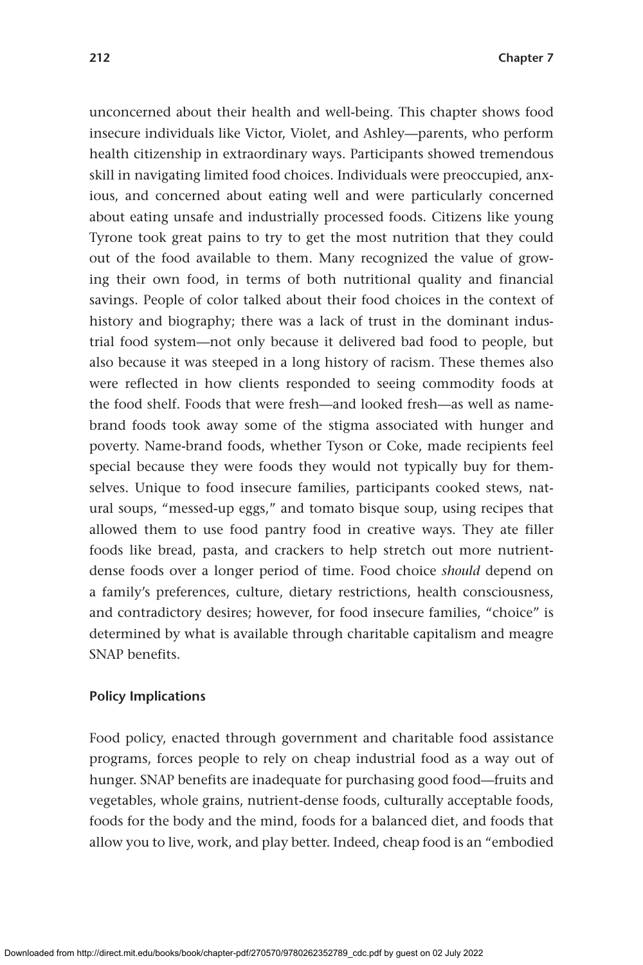unconcerned about their health and well-being. This chapter shows food insecure individuals like Victor, Violet, and Ashley—parents, who perform health citizenship in extraordinary ways. Participants showed tremendous skill in navigating limited food choices. Individuals were preoccupied, anxious, and concerned about eating well and were particularly concerned about eating unsafe and industrially processed foods. Citizens like young Tyrone took great pains to try to get the most nutrition that they could out of the food available to them. Many recognized the value of growing their own food, in terms of both nutritional quality and financial savings. People of color talked about their food choices in the context of history and biography; there was a lack of trust in the dominant industrial food system—not only because it delivered bad food to people, but also because it was steeped in a long history of racism. These themes also were reflected in how clients responded to seeing commodity foods at the food shelf. Foods that were fresh—and looked fresh—as well as namebrand foods took away some of the stigma associated with hunger and poverty. Name-brand foods, whether Tyson or Coke, made recipients feel special because they were foods they would not typically buy for themselves. Unique to food insecure families, participants cooked stews, natural soups, "messed-up eggs," and tomato bisque soup, using recipes that allowed them to use food pantry food in creative ways. They ate filler foods like bread, pasta, and crackers to help stretch out more nutrientdense foods over a longer period of time. Food choice *should* depend on a family's preferences, culture, dietary restrictions, health consciousness, and contradictory desires; however, for food insecure families, "choice" is determined by what is available through charitable capitalism and meagre SNAP benefits.

## **Policy Implications**

Food policy, enacted through government and charitable food assistance programs, forces people to rely on cheap industrial food as a way out of hunger. SNAP benefits are inadequate for purchasing good food—fruits and vegetables, whole grains, nutrient-dense foods, culturally acceptable foods, foods for the body and the mind, foods for a balanced diet, and foods that allow you to live, work, and play better. Indeed, cheap food is an "embodied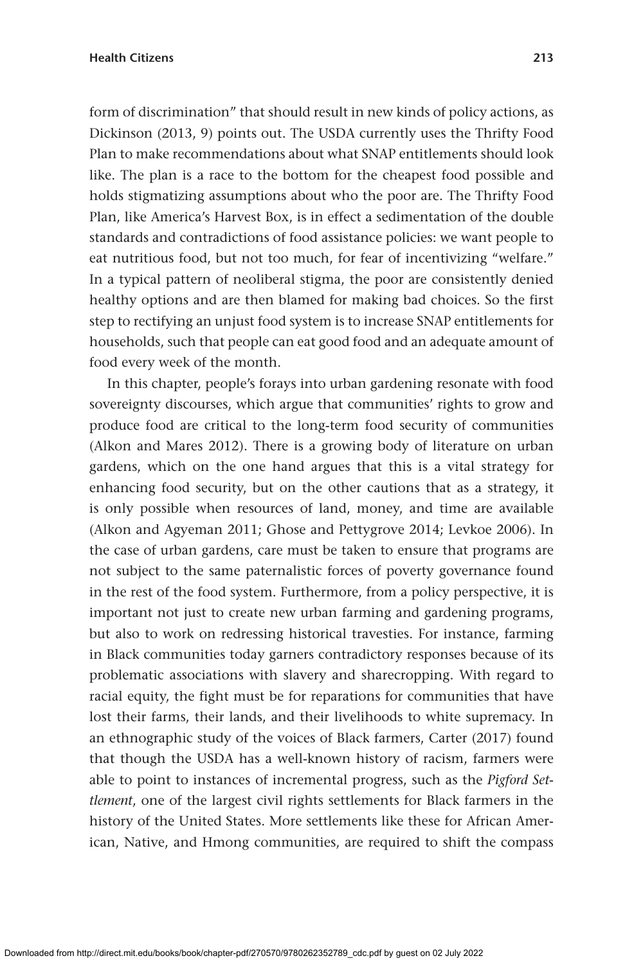form of discrimination" that should result in new kinds of policy actions, as Dickinson (2013, 9) points out. The USDA currently uses the Thrifty Food Plan to make recommendations about what SNAP entitlements should look like. The plan is a race to the bottom for the cheapest food possible and holds stigmatizing assumptions about who the poor are. The Thrifty Food Plan, like America's Harvest Box, is in effect a sedimentation of the double standards and contradictions of food assistance policies: we want people to eat nutritious food, but not too much, for fear of incentivizing "welfare." In a typical pattern of neoliberal stigma, the poor are consistently denied healthy options and are then blamed for making bad choices. So the first step to rectifying an unjust food system is to increase SNAP entitlements for households, such that people can eat good food and an adequate amount of food every week of the month.

In this chapter, people's forays into urban gardening resonate with food sovereignty discourses, which argue that communities' rights to grow and produce food are critical to the long-term food security of communities (Alkon and Mares 2012). There is a growing body of literature on urban gardens, which on the one hand argues that this is a vital strategy for enhancing food security, but on the other cautions that as a strategy, it is only possible when resources of land, money, and time are available (Alkon and Agyeman 2011; Ghose and Pettygrove 2014; Levkoe 2006). In the case of urban gardens, care must be taken to ensure that programs are not subject to the same paternalistic forces of poverty governance found in the rest of the food system. Furthermore, from a policy perspective, it is important not just to create new urban farming and gardening programs, but also to work on redressing historical travesties. For instance, farming in Black communities today garners contradictory responses because of its problematic associations with slavery and sharecropping. With regard to racial equity, the fight must be for reparations for communities that have lost their farms, their lands, and their livelihoods to white supremacy. In an ethnographic study of the voices of Black farmers, Carter (2017) found that though the USDA has a well-known history of racism, farmers were able to point to instances of incremental progress, such as the *Pigford Settlement*, one of the largest civil rights settlements for Black farmers in the history of the United States. More settlements like these for African American, Native, and Hmong communities, are required to shift the compass